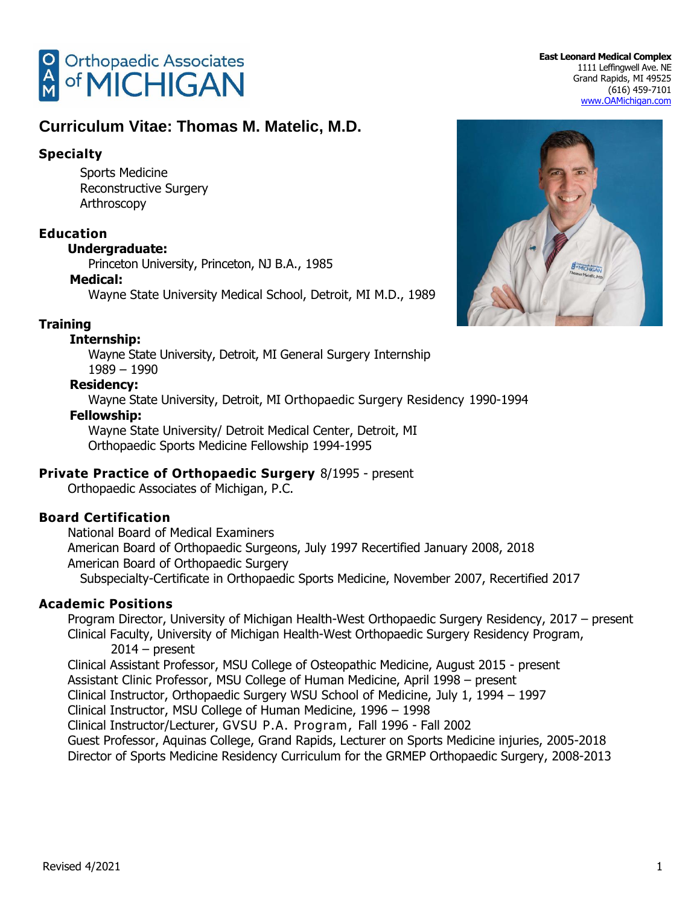

## **Specialty**

Sports Medicine Reconstructive Surgery Arthroscopy

## **Education**

#### **Undergraduate:**

Princeton University, Princeton, NJ B.A., 1985

#### **Medical:**

Wayne State University Medical School, Detroit, MI M.D., 1989

### **Training**

#### **Internship:**

Wayne State University, Detroit, MI General Surgery Internship 1989 – 1990

### **Residency:**

Wayne State University, Detroit, MI Orthopaedic Surgery Residency 1990-1994

#### **Fellowship:**

Wayne State University/ Detroit Medical Center, Detroit, MI Orthopaedic Sports Medicine Fellowship 1994-1995

### **Private Practice of Orthopaedic Surgery** 8/1995 - present

Orthopaedic Associates of Michigan, P.C.

### **Board Certification**

National Board of Medical Examiners American Board of Orthopaedic Surgeons, July 1997 Recertified January 2008, 2018 American Board of Orthopaedic Surgery Subspecialty-Certificate in Orthopaedic Sports Medicine, November 2007, Recertified 2017

### **Academic Positions**

Program Director, University of Michigan Health-West Orthopaedic Surgery Residency, 2017 – present Clinical Faculty, University of Michigan Health-West Orthopaedic Surgery Residency Program, 2014 – present Clinical Assistant Professor, MSU College of Osteopathic Medicine, August 2015 - present Assistant Clinic Professor, MSU College of Human Medicine, April 1998 – present Clinical Instructor, Orthopaedic Surgery WSU School of Medicine, July 1, 1994 – 1997 Clinical Instructor, MSU College of Human Medicine, 1996 – 1998 Clinical Instructor/Lecturer, GVSU P.A. Program, Fall 1996 - Fall 2002 Guest Professor, Aquinas College, Grand Rapids, Lecturer on Sports Medicine injuries, 2005-2018 Director of Sports Medicine Residency Curriculum for the GRMEP Orthopaedic Surgery, 2008-2013

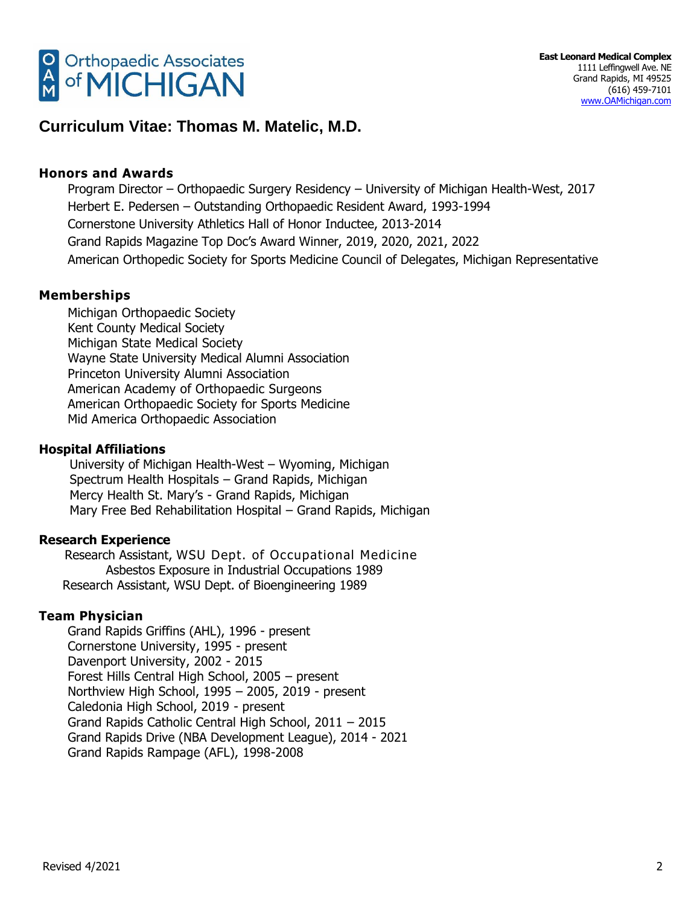

#### **Honors and Awards**

Program Director – Orthopaedic Surgery Residency – University of Michigan Health-West, 2017 Herbert E. Pedersen – Outstanding Orthopaedic Resident Award, 1993-1994 Cornerstone University Athletics Hall of Honor Inductee, 2013-2014 Grand Rapids Magazine Top Doc's Award Winner, 2019, 2020, 2021, 2022 American Orthopedic Society for Sports Medicine Council of Delegates, Michigan Representative

#### **Memberships**

Michigan Orthopaedic Society Kent County Medical Society Michigan State Medical Society Wayne State University Medical Alumni Association Princeton University Alumni Association American Academy of Orthopaedic Surgeons American Orthopaedic Society for Sports Medicine Mid America Orthopaedic Association

#### **Hospital Affiliations**

University of Michigan Health-West – Wyoming, Michigan Spectrum Health Hospitals – Grand Rapids, Michigan Mercy Health St. Mary's - Grand Rapids, Michigan Mary Free Bed Rehabilitation Hospital – Grand Rapids, Michigan

#### **Research Experience**

Research Assistant, WSU Dept. of Occupational Medicine Asbestos Exposure in Industrial Occupations 1989 Research Assistant, WSU Dept. of Bioengineering 1989

#### **Team Physician**

Grand Rapids Griffins (AHL), 1996 - present Cornerstone University, 1995 - present Davenport University, 2002 - 2015 Forest Hills Central High School, 2005 – present Northview High School, 1995 – 2005, 2019 - present Caledonia High School, 2019 - present Grand Rapids Catholic Central High School, 2011 – 2015 Grand Rapids Drive (NBA Development League), 2014 - 2021 Grand Rapids Rampage (AFL), 1998-2008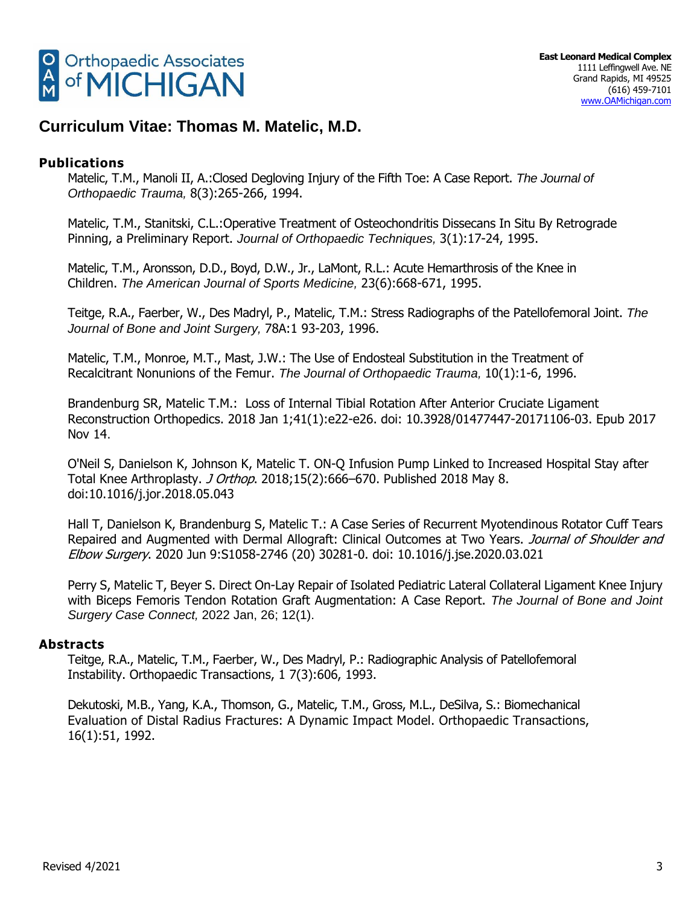

### **Publications**

Matelic, T.M., Manoli II, A.:Closed Degloving Injury of the Fifth Toe: A Case Report. *The Journal of Orthopaedic Trauma,* 8(3):265-266, 1994.

Matelic, T.M., Stanitski, C.L.:Operative Treatment of Osteochondritis Dissecans In Situ By Retrograde Pinning, a Preliminary Report. *Journal of Orthopaedic Techniques,* 3(1):17-24, 1995.

Matelic, T.M., Aronsson, D.D., Boyd, D.W., Jr., LaMont, R.L.: Acute Hemarthrosis of the Knee in Children. *The American Journal of Sports Medicine,* 23(6):668-671, 1995.

Teitge, R.A., Faerber, W., Des Madryl, P., Matelic, T.M.: Stress Radiographs of the Patellofemoral Joint. *The Journal of Bone and Joint Surgery,* 78A:1 93-203, 1996.

Matelic, T.M., Monroe, M.T., Mast, J.W.: The Use of Endosteal Substitution in the Treatment of Recalcitrant Nonunions of the Femur. *The Journal of Orthopaedic Trauma,* 10(1):1-6, 1996.

[Brandenburg SR,](https://www.ncbi.nlm.nih.gov/pubmed/?term=Brandenburg%20SR%5BAuthor%5D&cauthor=true&cauthor_uid=29136255) [Matelic T.M.](https://www.ncbi.nlm.nih.gov/pubmed/?term=Matelic%20TM%5BAuthor%5D&cauthor=true&cauthor_uid=29136255): Loss of Internal Tibial Rotation After Anterior Cruciate Ligament Reconstruction [Orthopedics.](https://www.ncbi.nlm.nih.gov/pubmed/29136255) 2018 Jan 1;41(1):e22-e26. doi: 10.3928/01477447-20171106-03. Epub 2017 Nov 14.

O'Neil S, Danielson K, Johnson K, Matelic T. ON-Q Infusion Pump Linked to Increased Hospital Stay after Total Knee Arthroplasty. J Orthop. 2018;15(2):666–670. Published 2018 May 8. doi:10.1016/j.jor.2018.05.043

Hall T, Danielson K, Brandenburg S, Matelic T.: A Case Series of Recurrent Myotendinous Rotator Cuff Tears Repaired and Augmented with Dermal Allograft: Clinical Outcomes at Two Years. Journal of Shoulder and Elbow Surgery. 2020 Jun 9:S1058-2746 (20) 30281-0. doi: 10.1016/j.jse.2020.03.021

Perry S, Matelic T, Beyer S. Direct On-Lay Repair of Isolated Pediatric Lateral Collateral Ligament Knee Injury with Biceps Femoris Tendon Rotation Graft Augmentation: A Case Report. *The Journal of Bone and Joint Surgery Case Connect,* 2022 Jan, 26; 12(1).

### **Abstracts**

Teitge, R.A., Matelic, T.M., Faerber, W., Des Madryl, P.: Radiographic Analysis of Patellofemoral Instability. Orthopaedic Transactions, 1 7(3):606, 1993.

Dekutoski, M.B., Yang, K.A., Thomson, G., Matelic, T.M., Gross, M.L., DeSilva, S.: Biomechanical Evaluation of Distal Radius Fractures: A Dynamic Impact Model. Orthopaedic Transactions, 16(1):51, 1992.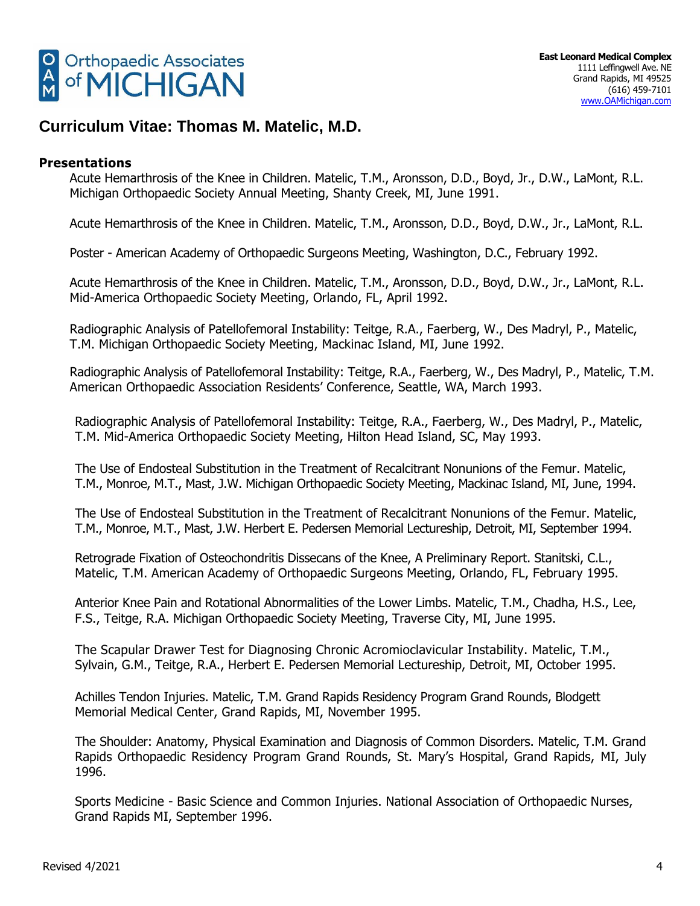

### **Presentations**

Acute Hemarthrosis of the Knee in Children. Matelic, T.M., Aronsson, D.D., Boyd, Jr., D.W., LaMont, R.L. Michigan Orthopaedic Society Annual Meeting, Shanty Creek, MI, June 1991.

Acute Hemarthrosis of the Knee in Children. Matelic, T.M., Aronsson, D.D., Boyd, D.W., Jr., LaMont, R.L.

Poster - American Academy of Orthopaedic Surgeons Meeting, Washington, D.C., February 1992.

Acute Hemarthrosis of the Knee in Children. Matelic, T.M., Aronsson, D.D., Boyd, D.W., Jr., LaMont, R.L. Mid-America Orthopaedic Society Meeting, Orlando, FL, April 1992.

Radiographic Analysis of Patellofemoral Instability: Teitge, R.A., Faerberg, W., Des Madryl, P., Matelic, T.M. Michigan Orthopaedic Society Meeting, Mackinac Island, MI, June 1992.

Radiographic Analysis of Patellofemoral Instability: Teitge, R.A., Faerberg, W., Des Madryl, P., Matelic, T.M. American Orthopaedic Association Residents' Conference, Seattle, WA, March 1993.

Radiographic Analysis of Patellofemoral Instability: Teitge, R.A., Faerberg, W., Des Madryl, P., Matelic, T.M. Mid-America Orthopaedic Society Meeting, Hilton Head Island, SC, May 1993.

The Use of Endosteal Substitution in the Treatment of Recalcitrant Nonunions of the Femur. Matelic, T.M., Monroe, M.T., Mast, J.W. Michigan Orthopaedic Society Meeting, Mackinac Island, MI, June, 1994.

The Use of Endosteal Substitution in the Treatment of Recalcitrant Nonunions of the Femur. Matelic, T.M., Monroe, M.T., Mast, J.W. Herbert E. Pedersen Memorial Lectureship, Detroit, MI, September 1994.

Retrograde Fixation of Osteochondritis Dissecans of the Knee, A Preliminary Report. Stanitski, C.L., Matelic, T.M. American Academy of Orthopaedic Surgeons Meeting, Orlando, FL, February 1995.

Anterior Knee Pain and Rotational Abnormalities of the Lower Limbs. Matelic, T.M., Chadha, H.S., Lee, F.S., Teitge, R.A. Michigan Orthopaedic Society Meeting, Traverse City, MI, June 1995.

The Scapular Drawer Test for Diagnosing Chronic Acromioclavicular Instability. Matelic, T.M., Sylvain, G.M., Teitge, R.A., Herbert E. Pedersen Memorial Lectureship, Detroit, MI, October 1995.

Achilles Tendon Injuries. Matelic, T.M. Grand Rapids Residency Program Grand Rounds, Blodgett Memorial Medical Center, Grand Rapids, MI, November 1995.

The Shoulder: Anatomy, Physical Examination and Diagnosis of Common Disorders. Matelic, T.M. Grand Rapids Orthopaedic Residency Program Grand Rounds, St. Mary's Hospital, Grand Rapids, MI, July 1996.

Sports Medicine - Basic Science and Common Injuries. National Association of Orthopaedic Nurses, Grand Rapids MI, September 1996.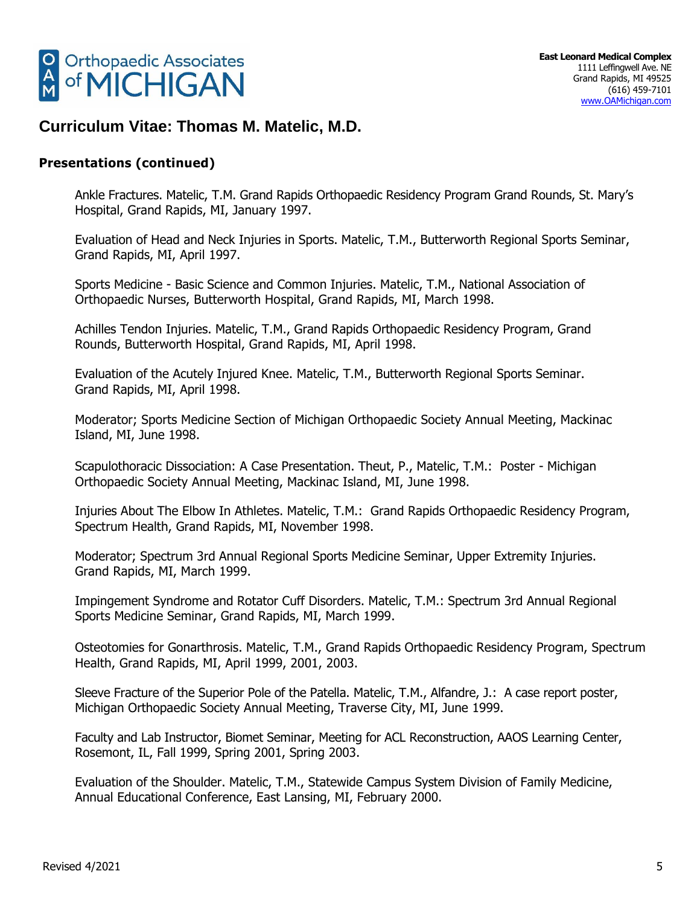

## **Presentations (continued)**

Ankle Fractures. Matelic, T.M. Grand Rapids Orthopaedic Residency Program Grand Rounds, St. Mary's Hospital, Grand Rapids, MI, January 1997.

Evaluation of Head and Neck Injuries in Sports. Matelic, T.M., Butterworth Regional Sports Seminar, Grand Rapids, MI, April 1997.

Sports Medicine - Basic Science and Common Injuries. Matelic, T.M., National Association of Orthopaedic Nurses, Butterworth Hospital, Grand Rapids, MI, March 1998.

Achilles Tendon Injuries. Matelic, T.M., Grand Rapids Orthopaedic Residency Program, Grand Rounds, Butterworth Hospital, Grand Rapids, MI, April 1998.

Evaluation of the Acutely Injured Knee. Matelic, T.M., Butterworth Regional Sports Seminar. Grand Rapids, MI, April 1998.

Moderator; Sports Medicine Section of Michigan Orthopaedic Society Annual Meeting, Mackinac Island, MI, June 1998.

Scapulothoracic Dissociation: A Case Presentation. Theut, P., Matelic, T.M.: Poster - Michigan Orthopaedic Society Annual Meeting, Mackinac Island, MI, June 1998.

Injuries About The Elbow In Athletes. Matelic, T.M.: Grand Rapids Orthopaedic Residency Program, Spectrum Health, Grand Rapids, MI, November 1998.

Moderator; Spectrum 3rd Annual Regional Sports Medicine Seminar, Upper Extremity Injuries. Grand Rapids, MI, March 1999.

Impingement Syndrome and Rotator Cuff Disorders. Matelic, T.M.: Spectrum 3rd Annual Regional Sports Medicine Seminar, Grand Rapids, MI, March 1999.

Osteotomies for Gonarthrosis. Matelic, T.M., Grand Rapids Orthopaedic Residency Program, Spectrum Health, Grand Rapids, MI, April 1999, 2001, 2003.

Sleeve Fracture of the Superior Pole of the Patella. Matelic, T.M., Alfandre, J.: A case report poster, Michigan Orthopaedic Society Annual Meeting, Traverse City, MI, June 1999.

Faculty and Lab Instructor, Biomet Seminar, Meeting for ACL Reconstruction, AAOS Learning Center, Rosemont, IL, Fall 1999, Spring 2001, Spring 2003.

Evaluation of the Shoulder. Matelic, T.M., Statewide Campus System Division of Family Medicine, Annual Educational Conference, East Lansing, MI, February 2000.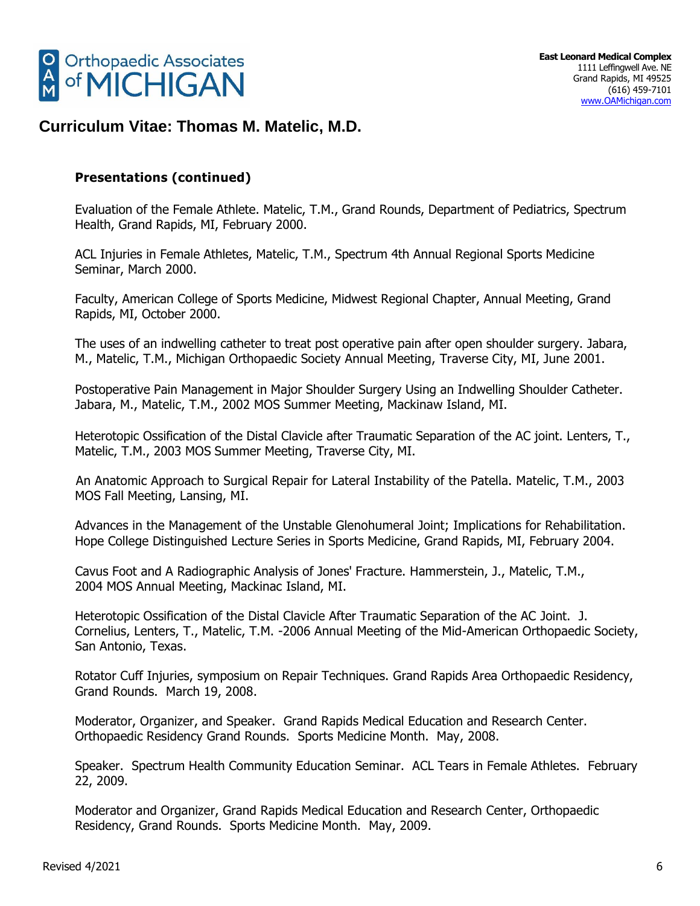

## **Presentations (continued)**

Evaluation of the Female Athlete. Matelic, T.M., Grand Rounds, Department of Pediatrics, Spectrum Health, Grand Rapids, MI, February 2000.

ACL Injuries in Female Athletes, Matelic, T.M., Spectrum 4th Annual Regional Sports Medicine Seminar, March 2000.

Faculty, American College of Sports Medicine, Midwest Regional Chapter, Annual Meeting, Grand Rapids, MI, October 2000.

The uses of an indwelling catheter to treat post operative pain after open shoulder surgery. Jabara, M., Matelic, T.M., Michigan Orthopaedic Society Annual Meeting, Traverse City, MI, June 2001.

Postoperative Pain Management in Major Shoulder Surgery Using an Indwelling Shoulder Catheter. Jabara, M., Matelic, T.M., 2002 MOS Summer Meeting, Mackinaw Island, MI.

Heterotopic Ossification of the Distal Clavicle after Traumatic Separation of the AC joint. Lenters, T., Matelic, T.M., 2003 MOS Summer Meeting, Traverse City, MI.

An Anatomic Approach to Surgical Repair for Lateral Instability of the Patella. Matelic, T.M., 2003 MOS Fall Meeting, Lansing, MI.

Advances in the Management of the Unstable Glenohumeral Joint; Implications for Rehabilitation. Hope College Distinguished Lecture Series in Sports Medicine, Grand Rapids, MI, February 2004.

Cavus Foot and A Radiographic Analysis of Jones' Fracture. Hammerstein, J., Matelic, T.M., 2004 MOS Annual Meeting, Mackinac Island, MI.

Heterotopic Ossification of the Distal Clavicle After Traumatic Separation of the AC Joint. J. Cornelius, Lenters, T., Matelic, T.M. -2006 Annual Meeting of the Mid-American Orthopaedic Society, San Antonio, Texas.

Rotator Cuff Injuries, symposium on Repair Techniques. Grand Rapids Area Orthopaedic Residency, Grand Rounds. March 19, 2008.

Moderator, Organizer, and Speaker. Grand Rapids Medical Education and Research Center. Orthopaedic Residency Grand Rounds. Sports Medicine Month. May, 2008.

Speaker. Spectrum Health Community Education Seminar. ACL Tears in Female Athletes. February 22, 2009.

Moderator and Organizer, Grand Rapids Medical Education and Research Center, Orthopaedic Residency, Grand Rounds. Sports Medicine Month. May, 2009.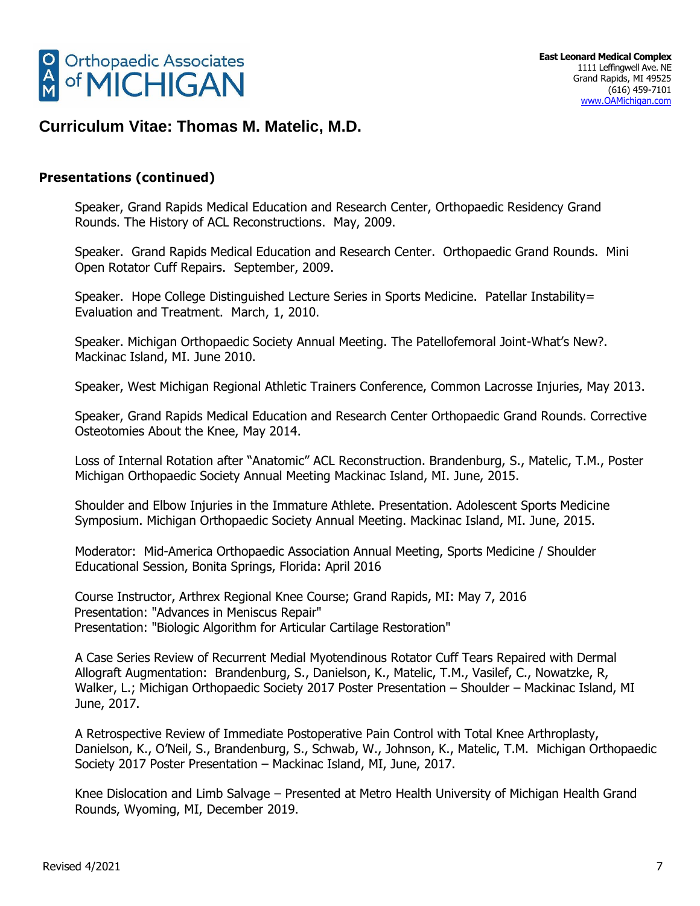

## **Presentations (continued)**

Speaker, Grand Rapids Medical Education and Research Center, Orthopaedic Residency Grand Rounds. The History of ACL Reconstructions. May, 2009.

Speaker. Grand Rapids Medical Education and Research Center. Orthopaedic Grand Rounds. Mini Open Rotator Cuff Repairs. September, 2009.

Speaker. Hope College Distinguished Lecture Series in Sports Medicine. Patellar Instability= Evaluation and Treatment. March, 1, 2010.

Speaker. Michigan Orthopaedic Society Annual Meeting. The Patellofemoral Joint-What's New?. Mackinac Island, MI. June 2010.

Speaker, West Michigan Regional Athletic Trainers Conference, Common Lacrosse Injuries, May 2013.

Speaker, Grand Rapids Medical Education and Research Center Orthopaedic Grand Rounds. Corrective Osteotomies About the Knee, May 2014.

Loss of Internal Rotation after "Anatomic" ACL Reconstruction. Brandenburg, S., Matelic, T.M., Poster Michigan Orthopaedic Society Annual Meeting Mackinac Island, MI. June, 2015.

Shoulder and Elbow Injuries in the Immature Athlete. Presentation. Adolescent Sports Medicine Symposium. Michigan Orthopaedic Society Annual Meeting. Mackinac Island, MI. June, 2015.

Moderator: Mid-America Orthopaedic Association Annual Meeting, Sports Medicine / Shoulder Educational Session, Bonita Springs, Florida: April 2016

Course Instructor, Arthrex Regional Knee Course; Grand Rapids, MI: May 7, 2016 Presentation: "Advances in Meniscus Repair" Presentation: "Biologic Algorithm for Articular Cartilage Restoration"

A Case Series Review of Recurrent Medial Myotendinous Rotator Cuff Tears Repaired with Dermal Allograft Augmentation: Brandenburg, S., Danielson, K., Matelic, T.M., Vasilef, C., Nowatzke, R, Walker, L.; Michigan Orthopaedic Society 2017 Poster Presentation – Shoulder – Mackinac Island, MI June, 2017.

A Retrospective Review of Immediate Postoperative Pain Control with Total Knee Arthroplasty, Danielson, K., O'Neil, S., Brandenburg, S., Schwab, W., Johnson, K., Matelic, T.M. Michigan Orthopaedic Society 2017 Poster Presentation – Mackinac Island, MI, June, 2017.

Knee Dislocation and Limb Salvage – Presented at Metro Health University of Michigan Health Grand Rounds, Wyoming, MI, December 2019.